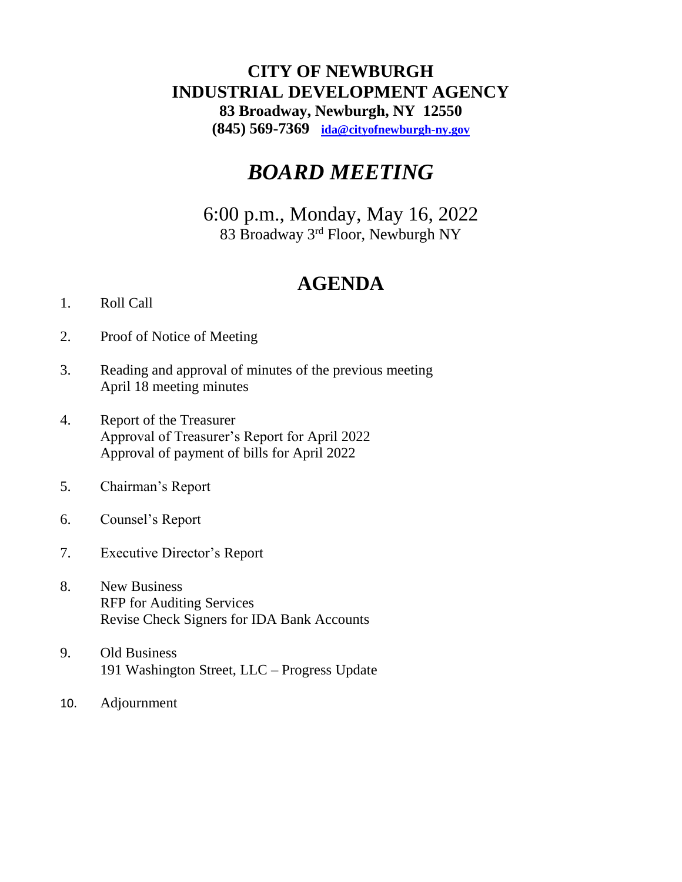# **CITY OF NEWBURGH INDUSTRIAL DEVELOPMENT AGENCY 83 Broadway, Newburgh, NY 12550 (845) 569-7369 [ida@cityofnewburgh-ny.gov](mailto:ida@cityofnewburgh-ny.gov)**

# *BOARD MEETING*

6:00 p.m., Monday, May 16, 2022 83 Broadway 3rd Floor, Newburgh NY

# **AGENDA**

# 1. Roll Call

- 2. Proof of Notice of Meeting
- 3. Reading and approval of minutes of the previous meeting April 18 meeting minutes
- 4. Report of the Treasurer Approval of Treasurer's Report for April 2022 Approval of payment of bills for April 2022
- 5. Chairman's Report
- 6. Counsel's Report
- 7. Executive Director's Report
- 8. New Business RFP for Auditing Services Revise Check Signers for IDA Bank Accounts
- 9. Old Business 191 Washington Street, LLC – Progress Update
- 10. Adjournment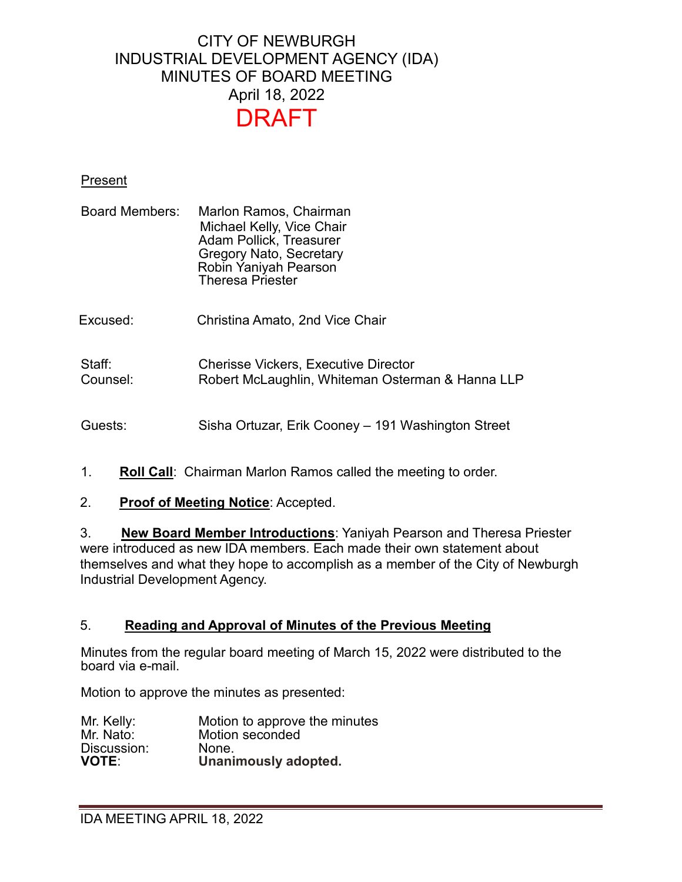# CITY OF NEWBURGH INDUSTRIAL DEVELOPMENT AGENCY (IDA) MINUTES OF BOARD MEETING April 18, 2022 DRAFT

### Present

| <b>Board Members:</b> | Marlon Ramos, Chairman<br>Michael Kelly, Vice Chair<br><b>Adam Pollick, Treasurer</b><br><b>Gregory Nato, Secretary</b><br>Robin Yaniyah Pearson<br><b>Theresa Priester</b> |
|-----------------------|-----------------------------------------------------------------------------------------------------------------------------------------------------------------------------|
| Excused:              | Christina Amato, 2nd Vice Chair                                                                                                                                             |
| Staff:<br>Counsel:    | <b>Cherisse Vickers, Executive Director</b><br>Robert McLaughlin, Whiteman Osterman & Hanna LLP                                                                             |
| Guests:               | Sisha Ortuzar, Erik Cooney – 191 Washington Street                                                                                                                          |

- 1. **Roll Call**: Chairman Marlon Ramos called the meeting to order.
- 2. **Proof of Meeting Notice**: Accepted.

3. **New Board Member Introductions**: Yaniyah Pearson and Theresa Priester were introduced as new IDA members. Each made their own statement about themselves and what they hope to accomplish as a member of the City of Newburgh Industrial Development Agency.

#### 5. **Reading and Approval of Minutes of the Previous Meeting**

Minutes from the regular board meeting of March 15, 2022 were distributed to the board via e-mail.

Motion to approve the minutes as presented:

| Mr. Kelly:   | Motion to approve the minutes |
|--------------|-------------------------------|
| Mr. Nato:    | Motion seconded               |
| Discussion:  | None.                         |
| <b>VOTE:</b> | Unanimously adopted.          |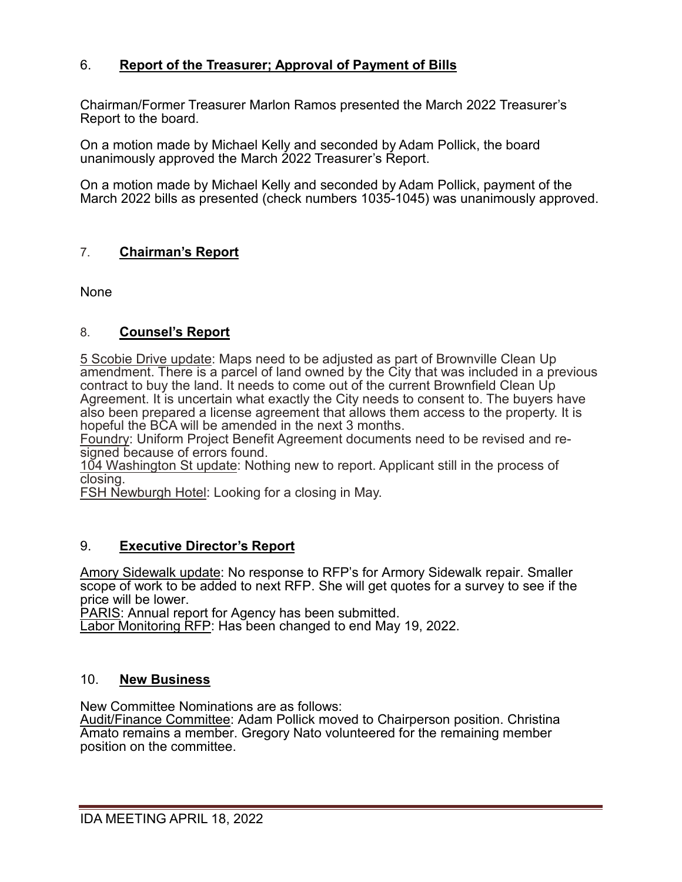# 6. **Report of the Treasurer; Approval of Payment of Bills**

Chairman/Former Treasurer Marlon Ramos presented the March 2022 Treasurer's Report to the board.

On a motion made by Michael Kelly and seconded by Adam Pollick, the board unanimously approved the March 2022 Treasurer's Report.

On a motion made by Michael Kelly and seconded by Adam Pollick, payment of the March 2022 bills as presented (check numbers 1035-1045) was unanimously approved.

# 7. **Chairman's Report**

None

## 8. **Counsel's Report**

5 Scobie Drive update: Maps need to be adjusted as part of Brownville Clean Up amendment. There is a parcel of land owned by the City that was included in a previous contract to buy the land. It needs to come out of the current Brownfield Clean Up Agreement. It is uncertain what exactly the City needs to consent to. The buyers have also been prepared a license agreement that allows them access to the property. It is hopeful the BCA will be amended in the next 3 months.

Foundry: Uniform Project Benefit Agreement documents need to be revised and resigned because of errors found.

104 Washington St update: Nothing new to report. Applicant still in the process of closing.

FSH Newburgh Hotel: Looking for a closing in May.

# 9. **Executive Director's Report**

Amory Sidewalk update: No response to RFP's for Armory Sidewalk repair. Smaller scope of work to be added to next RFP. She will get quotes for a survey to see if the price will be lower.

PARIS: Annual report for Agency has been submitted.

Labor Monitoring RFP: Has been changed to end May 19, 2022.

## 10. **New Business**

New Committee Nominations are as follows:

Audit/Finance Committee: Adam Pollick moved to Chairperson position. Christina Amato remains a member. Gregory Nato volunteered for the remaining member position on the committee.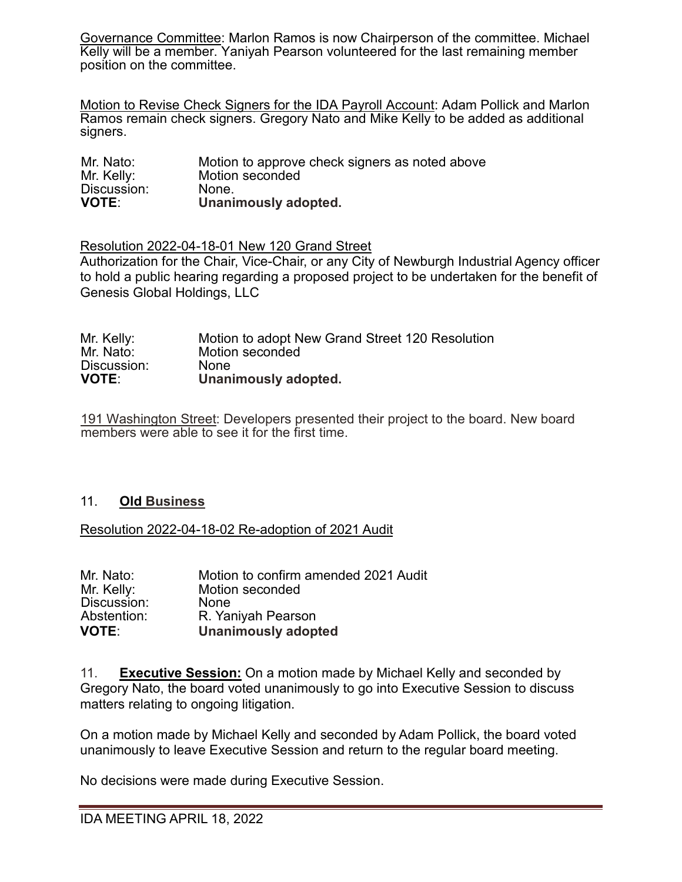Governance Committee: Marlon Ramos is now Chairperson of the committee. Michael Kelly will be a member. Yaniyah Pearson volunteered for the last remaining member position on the committee.

Motion to Revise Check Signers for the IDA Payroll Account: Adam Pollick and Marlon Ramos remain check signers. Gregory Nato and Mike Kelly to be added as additional signers.

| Mr. Nato:    | Motion to approve check signers as noted above |
|--------------|------------------------------------------------|
| Mr. Kelly:   | Motion seconded                                |
| Discussion:  | None.                                          |
| <b>VOTE:</b> | Unanimously adopted.                           |

Resolution 2022-04-18-01 New 120 Grand Street

Authorization for the Chair, Vice-Chair, or any City of Newburgh Industrial Agency officer to hold a public hearing regarding a proposed project to be undertaken for the benefit of Genesis Global Holdings, LLC

| Mr. Kelly:   | Motion to adopt New Grand Street 120 Resolution |
|--------------|-------------------------------------------------|
| Mr. Nato:    | Motion seconded                                 |
| Discussion:  | <b>None</b>                                     |
| <b>VOTE:</b> | Unanimously adopted.                            |

191 Washington Street: Developers presented their project to the board. New board members were able to see it for the first time.

## 11. **Old Business**

Resolution 2022-04-18-02 Re-adoption of 2021 Audit

| Mr. Nato:    | Motion to confirm amended 2021 Audit |
|--------------|--------------------------------------|
| Mr. Kelly:   | Motion seconded                      |
| Discussion:  | <b>None</b>                          |
| Abstention:  | R. Yaniyah Pearson                   |
| <b>VOTE:</b> | <b>Unanimously adopted</b>           |

11. **Executive Session:** On a motion made by Michael Kelly and seconded by Gregory Nato, the board voted unanimously to go into Executive Session to discuss matters relating to ongoing litigation.

On a motion made by Michael Kelly and seconded by Adam Pollick, the board voted unanimously to leave Executive Session and return to the regular board meeting.

No decisions were made during Executive Session.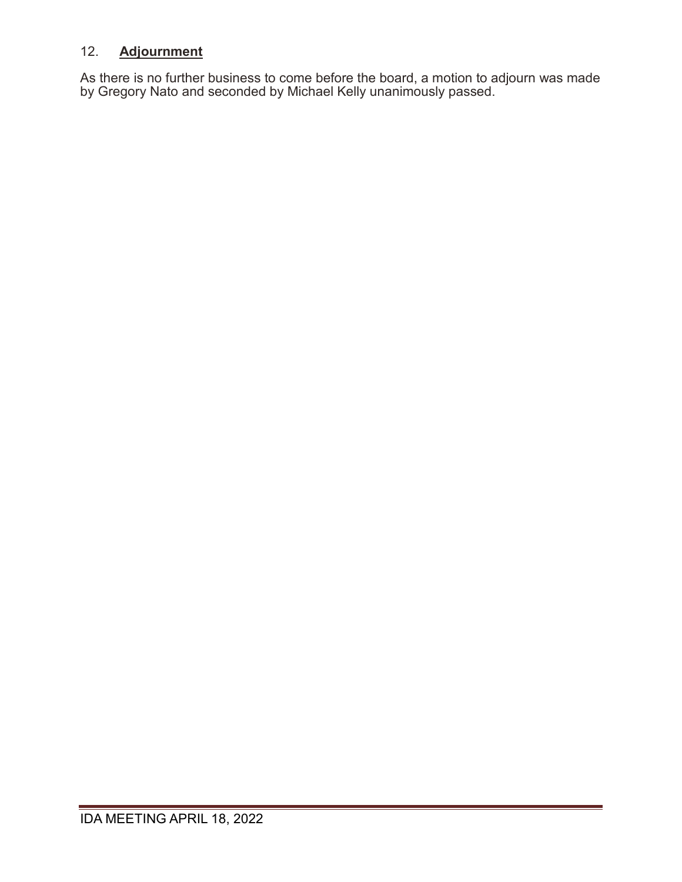# 12. **Adjournment**

As there is no further business to come before the board, a motion to adjourn was made by Gregory Nato and seconded by Michael Kelly unanimously passed.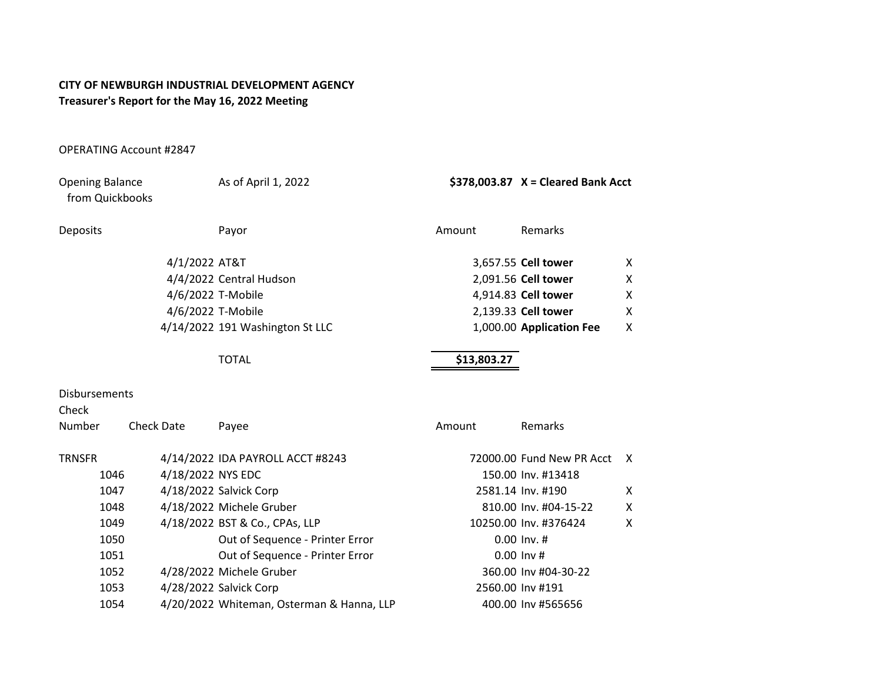#### **CITY OF NEWBURGH INDUSTRIAL DEVELOPMENT AGENCY Treasurer's Report for the May 16, 2022 Meeting**

#### OPERATING Account #2847

| <b>Opening Balance</b><br>from Quickbooks |                   | As of April 1, 2022                       |             | $$378,003.87$ X = Cleared Bank Acct |   |
|-------------------------------------------|-------------------|-------------------------------------------|-------------|-------------------------------------|---|
| Deposits                                  |                   | Payor                                     | Amount      | Remarks                             |   |
|                                           | 4/1/2022 AT&T     |                                           |             | 3,657.55 Cell tower                 | X |
|                                           |                   | 4/4/2022 Central Hudson                   |             | 2,091.56 Cell tower                 | X |
|                                           |                   | 4/6/2022 T-Mobile                         |             | 4,914.83 Cell tower                 | X |
|                                           |                   | 4/6/2022 T-Mobile                         |             | 2,139.33 Cell tower                 | X |
|                                           |                   | 4/14/2022 191 Washington St LLC           |             | 1,000.00 Application Fee            | X |
|                                           |                   | <b>TOTAL</b>                              | \$13,803.27 |                                     |   |
| <b>Disbursements</b><br>Check             |                   |                                           |             |                                     |   |
| Number                                    | <b>Check Date</b> | Payee                                     | Amount      | Remarks                             |   |
| <b>TRNSFR</b>                             |                   | 4/14/2022 IDA PAYROLL ACCT #8243          |             | 72000.00 Fund New PR Acct           | X |
| 1046                                      | 4/18/2022 NYS EDC |                                           |             | 150.00 Inv. #13418                  |   |
| 1047                                      |                   | 4/18/2022 Salvick Corp                    |             | 2581.14 Inv. #190                   | X |
| 1048                                      |                   | 4/18/2022 Michele Gruber                  |             | 810.00 Inv. #04-15-22               | X |
| 1049                                      |                   | 4/18/2022 BST & Co., CPAs, LLP            |             | 10250.00 Inv. #376424               | X |
| 1050                                      |                   | Out of Sequence - Printer Error           |             | $0.00$ lnv. #                       |   |
| 1051                                      |                   | Out of Sequence - Printer Error           |             | $0.00$ Inv #                        |   |
| 1052                                      |                   | 4/28/2022 Michele Gruber                  |             | 360.00 Inv #04-30-22                |   |
| 1053                                      |                   | 4/28/2022 Salvick Corp                    |             | 2560.00 Inv #191                    |   |
| 1054                                      |                   | 4/20/2022 Whiteman, Osterman & Hanna, LLP |             | 400.00 Inv #565656                  |   |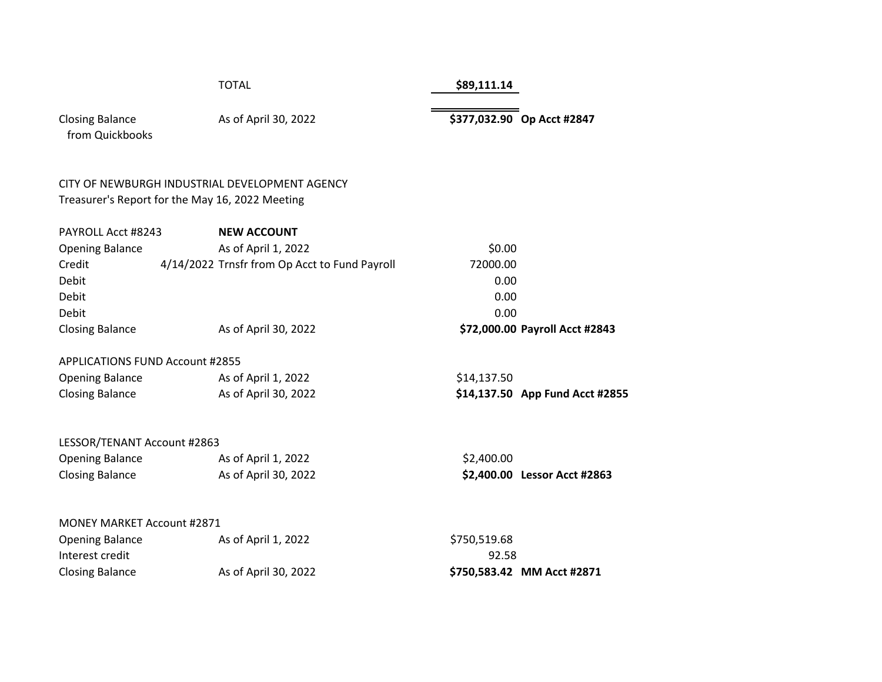#### TOTAL **\$89,111.14**

| <b>Closing Balance</b> |  |
|------------------------|--|
| from Quickbooks        |  |

As of April 30, 2022 **\$377,032.90 Op Acct #2847** 

fom Quickbooks

#### CITY OF NEWBURGH INDUSTRIAL DEVELOPMENT AGENCY Treasurer's Report for the May 16, 2022 Meeting

| PAYROLL Acct #8243     | <b>NEW ACCOUNT</b>                            |                                |  |
|------------------------|-----------------------------------------------|--------------------------------|--|
| <b>Opening Balance</b> | As of April 1, 2022                           | \$0.00                         |  |
| Credit                 | 4/14/2022 Trnsfr from Op Acct to Fund Payroll | 72000.00                       |  |
| Debit                  |                                               | 0.00                           |  |
| Debit                  |                                               | 0.00                           |  |
| Debit                  |                                               | 0.00                           |  |
| <b>Closing Balance</b> | As of April 30, 2022                          | \$72,000.00 Payroll Acct #2843 |  |
|                        |                                               |                                |  |

#### APPLICATIONS FUND Account #2855

| Opening Balance | As of April 1, 2022  | \$14,137.50 |                                 |
|-----------------|----------------------|-------------|---------------------------------|
| Closing Balance | As of April 30, 2022 |             | \$14,137.50 App Fund Acct #2855 |

#### LESSOR/TENANT Account #2863

| <b>Opening Balance</b> | As of April 1, 2022  |
|------------------------|----------------------|
| <b>Closing Balance</b> | As of April 30, 2022 |

#### MONEY MARKET Account #2871

| <b>Opening Balance</b> | As of April 1, 2022  | \$750,519.68 |
|------------------------|----------------------|--------------|
| Interest credit        |                      | 92.58        |
| <b>Closing Balance</b> | As of April 30, 2022 | \$750,583.42 |

 $$2,400.00$ Closing Balance As of April 30, 2022 **\$2,400.00 Lessor Acct #2863**

 $$750,519.68$ Closing Balance As of April 30, 2022 **\$750,583.42 MM Acct #2871**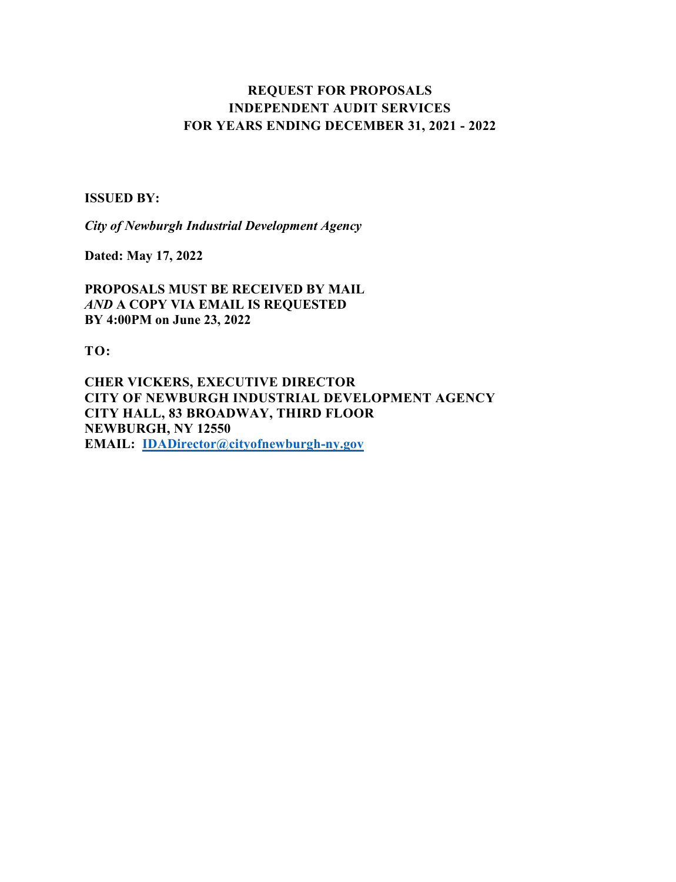# **REQUEST FOR PROPOSALS INDEPENDENT AUDIT SERVICES FOR YEARS ENDING DECEMBER 31, 2021 - 2022**

#### **ISSUED BY:**

*City of Newburgh Industrial Development Agency*

**Dated: May 17, 2022** 

**PROPOSALS MUST BE RECEIVED BY MAIL** *AND* **A COPY VIA EMAIL IS REQUESTED BY 4:00PM on June 23, 2022** 

**TO:**

**CHER VICKERS, EXECUTIVE DIRECTOR CITY OF NEWBURGH INDUSTRIAL DEVELOPMENT AGENCY CITY HALL, 83 BROADWAY, THIRD FLOOR NEWBURGH, NY 12550 EMAIL: [IDADirector@cityofnewburgh-ny.gov](mailto:IDADirector@cityofnewburgh-ny.gov)**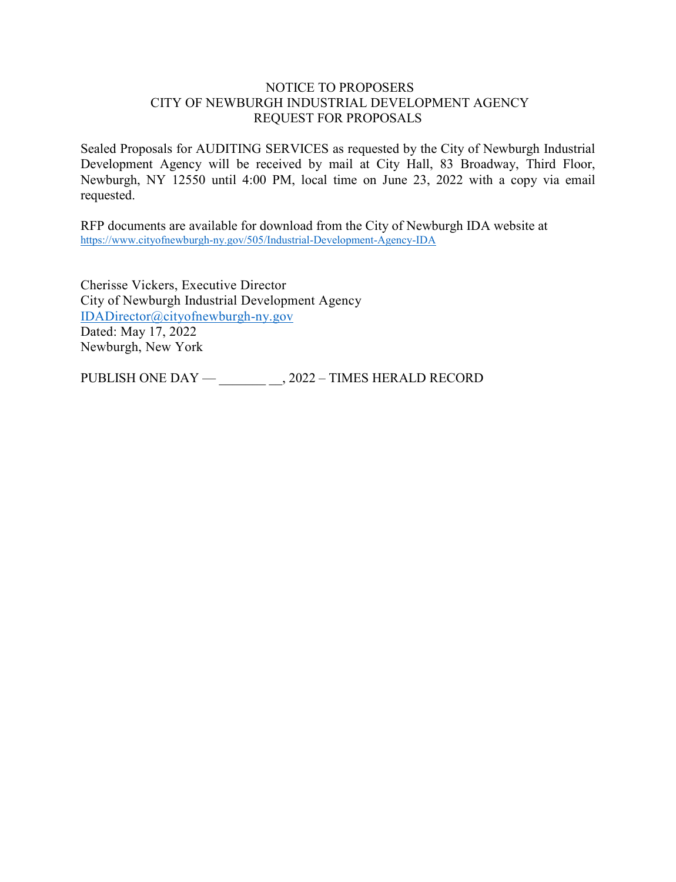#### NOTICE TO PROPOSERS CITY OF NEWBURGH INDUSTRIAL DEVELOPMENT AGENCY REQUEST FOR PROPOSALS

Sealed Proposals for AUDITING SERVICES as requested by the City of Newburgh Industrial Development Agency will be received by mail at City Hall, 83 Broadway, Third Floor, Newburgh, NY 12550 until 4:00 PM, local time on June 23, 2022 with a copy via email requested.

RFP documents are available for download from the City of Newburgh IDA website at <https://www.cityofnewburgh-ny.gov/505/Industrial-Development-Agency-IDA>

Cherisse Vickers, Executive Director City of Newburgh Industrial Development Agency [IDADirector@cityofnewburgh-ny.gov](mailto:IDADirector@cityofnewburgh-ny.gov) Dated: May 17, 2022 Newburgh, New York

PUBLISH ONE DAY — \_\_\_\_\_\_\_\_\_\_, 2022 – TIMES HERALD RECORD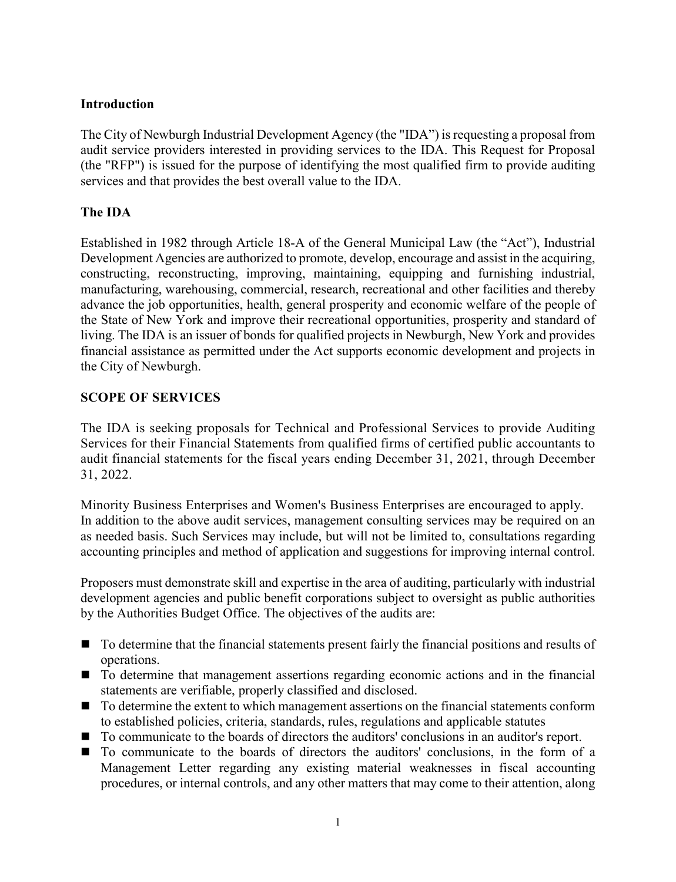## **Introduction**

The City of Newburgh Industrial Development Agency (the "IDA") is requesting a proposal from audit service providers interested in providing services to the IDA. This Request for Proposal (the "RFP") is issued for the purpose of identifying the most qualified firm to provide auditing services and that provides the best overall value to the IDA.

## **The IDA**

Established in 1982 through Article 18-A of the General Municipal Law (the "Act"), Industrial Development Agencies are authorized to promote, develop, encourage and assist in the acquiring, constructing, reconstructing, improving, maintaining, equipping and furnishing industrial, manufacturing, warehousing, commercial, research, recreational and other facilities and thereby advance the job opportunities, health, general prosperity and economic welfare of the people of the State of New York and improve their recreational opportunities, prosperity and standard of living. The IDA is an issuer of bonds for qualified projects in Newburgh, New York and provides financial assistance as permitted under the Act supports economic development and projects in the City of Newburgh.

## **SCOPE OF SERVICES**

The IDA is seeking proposals for Technical and Professional Services to provide Auditing Services for their Financial Statements from qualified firms of certified public accountants to audit financial statements for the fiscal years ending December 31, 2021, through December 31, 2022.

Minority Business Enterprises and Women's Business Enterprises are encouraged to apply. In addition to the above audit services, management consulting services may be required on an as needed basis. Such Services may include, but will not be limited to, consultations regarding accounting principles and method of application and suggestions for improving internal control.

Proposers must demonstrate skill and expertise in the area of auditing, particularly with industrial development agencies and public benefit corporations subject to oversight as public authorities by the Authorities Budget Office. The objectives of the audits are:

- $\blacksquare$  To determine that the financial statements present fairly the financial positions and results of operations.
- To determine that management assertions regarding economic actions and in the financial statements are verifiable, properly classified and disclosed.
- $\blacksquare$  To determine the extent to which management assertions on the financial statements conform to established policies, criteria, standards, rules, regulations and applicable statutes
- To communicate to the boards of directors the auditors' conclusions in an auditor's report.
- To communicate to the boards of directors the auditors' conclusions, in the form of a Management Letter regarding any existing material weaknesses in fiscal accounting procedures, or internal controls, and any other matters that may come to their attention, along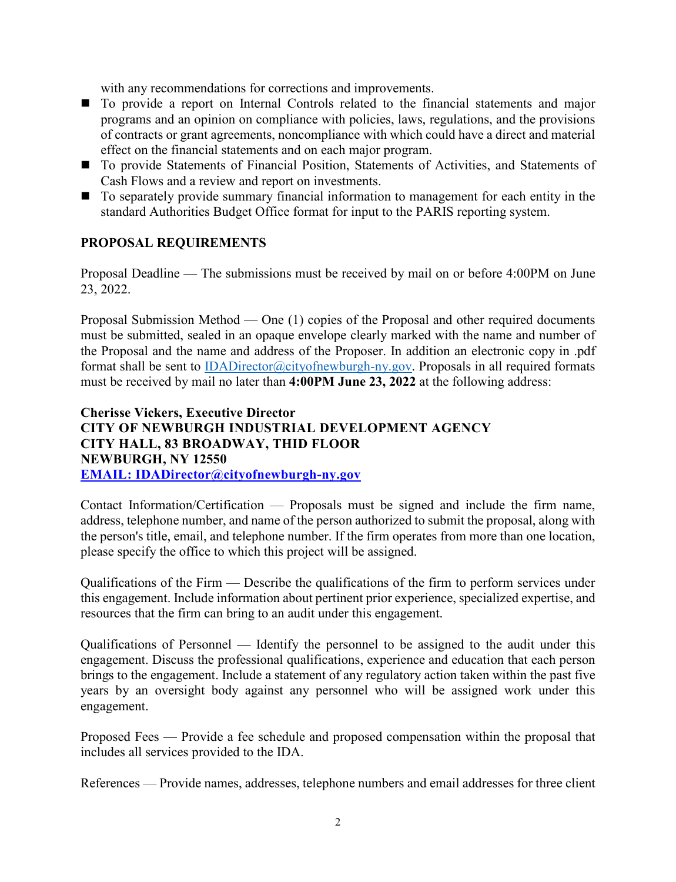with any recommendations for corrections and improvements.

- To provide a report on Internal Controls related to the financial statements and major programs and an opinion on compliance with policies, laws, regulations, and the provisions of contracts or grant agreements, noncompliance with which could have a direct and material effect on the financial statements and on each major program.
- To provide Statements of Financial Position, Statements of Activities, and Statements of Cash Flows and a review and report on investments.
- To separately provide summary financial information to management for each entity in the standard Authorities Budget Office format for input to the PARIS reporting system.

## **PROPOSAL REQUIREMENTS**

Proposal Deadline — The submissions must be received by mail on or before 4:00PM on June 23, 2022.

Proposal Submission Method — One (1) copies of the Proposal and other required documents must be submitted, sealed in an opaque envelope clearly marked with the name and number of the Proposal and the name and address of the Proposer. In addition an electronic copy in .pdf format shall be sent to *IDADirector@cityofnewburgh-ny.gov*. Proposals in all required formats must be received by mail no later than **4:00PM June 23, 2022** at the following address:

## **Cherisse Vickers, Executive Director CITY OF NEWBURGH INDUSTRIAL DEVELOPMENT AGENCY CITY HALL, 83 BROADWAY, THID FLOOR NEWBURGH, NY 12550 [EMAIL: IDADirector@cityofnewburgh-ny.gov](mailto:bnulk@putnamchamberny.org)**

Contact Information/Certification — Proposals must be signed and include the firm name, address, telephone number, and name of the person authorized to submit the proposal, along with the person's title, email, and telephone number. If the firm operates from more than one location, please specify the office to which this project will be assigned.

Qualifications of the Firm — Describe the qualifications of the firm to perform services under this engagement. Include information about pertinent prior experience, specialized expertise, and resources that the firm can bring to an audit under this engagement.

Qualifications of Personnel — Identify the personnel to be assigned to the audit under this engagement. Discuss the professional qualifications, experience and education that each person brings to the engagement. Include a statement of any regulatory action taken within the past five years by an oversight body against any personnel who will be assigned work under this engagement.

Proposed Fees — Provide a fee schedule and proposed compensation within the proposal that includes all services provided to the IDA.

References — Provide names, addresses, telephone numbers and email addresses for three client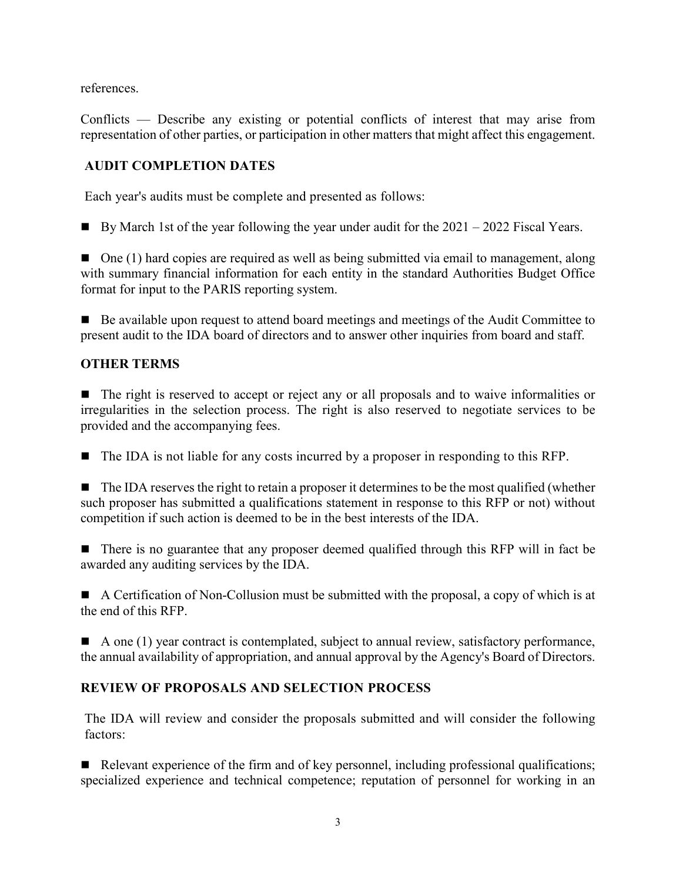references.

Conflicts — Describe any existing or potential conflicts of interest that may arise from representation of other parties, or participation in other matters that might affect this engagement.

# **AUDIT COMPLETION DATES**

Each year's audits must be complete and presented as follows:

By March 1st of the year following the year under audit for the  $2021 - 2022$  Fiscal Years.

 $\Box$  One (1) hard copies are required as well as being submitted via email to management, along with summary financial information for each entity in the standard Authorities Budget Office format for input to the PARIS reporting system.

 Be available upon request to attend board meetings and meetings of the Audit Committee to present audit to the IDA board of directors and to answer other inquiries from board and staff.

# **OTHER TERMS**

■ The right is reserved to accept or reject any or all proposals and to waive informalities or irregularities in the selection process. The right is also reserved to negotiate services to be provided and the accompanying fees.

■ The IDA is not liable for any costs incurred by a proposer in responding to this RFP.

 $\blacksquare$  The IDA reserves the right to retain a proposer it determines to be the most qualified (whether such proposer has submitted a qualifications statement in response to this RFP or not) without competition if such action is deemed to be in the best interests of the IDA.

■ There is no guarantee that any proposer deemed qualified through this RFP will in fact be awarded any auditing services by the IDA.

A Certification of Non-Collusion must be submitted with the proposal, a copy of which is at the end of this RFP.

 $\blacksquare$  A one (1) year contract is contemplated, subject to annual review, satisfactory performance, the annual availability of appropriation, and annual approval by the Agency's Board of Directors.

# **REVIEW OF PROPOSALS AND SELECTION PROCESS**

The IDA will review and consider the proposals submitted and will consider the following factors:

Relevant experience of the firm and of key personnel, including professional qualifications; specialized experience and technical competence; reputation of personnel for working in an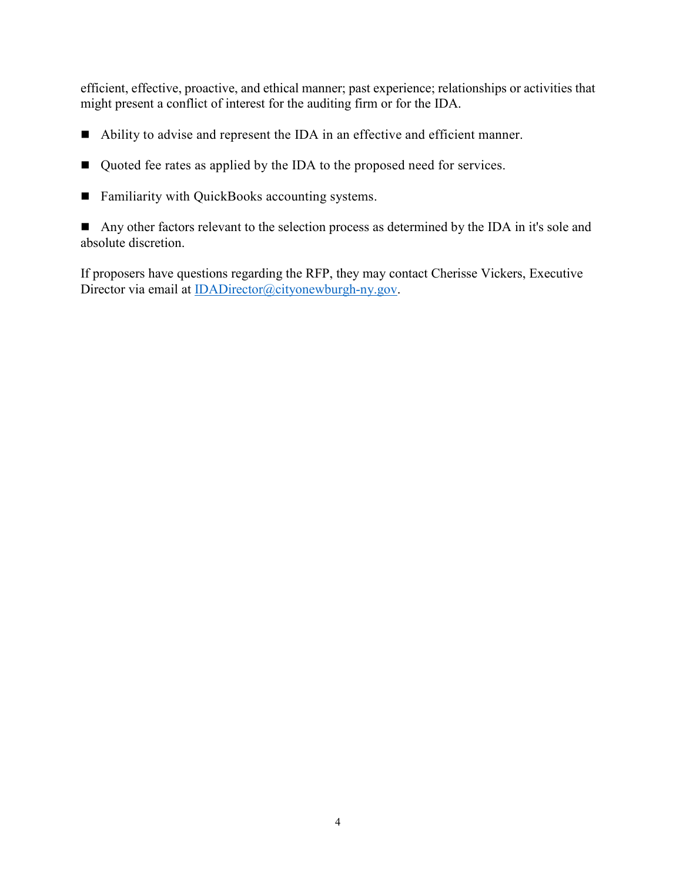efficient, effective, proactive, and ethical manner; past experience; relationships or activities that might present a conflict of interest for the auditing firm or for the IDA.

- Ability to advise and represent the IDA in an effective and efficient manner.
- Quoted fee rates as applied by the IDA to the proposed need for services.
- Familiarity with QuickBooks accounting systems.

Any other factors relevant to the selection process as determined by the IDA in it's sole and absolute discretion.

If proposers have questions regarding the RFP, they may contact Cherisse Vickers, Executive Director via email at [IDADirector@cityonewburgh-ny.gov.](mailto:IDADirector@cityonewburgh-ny.gov)